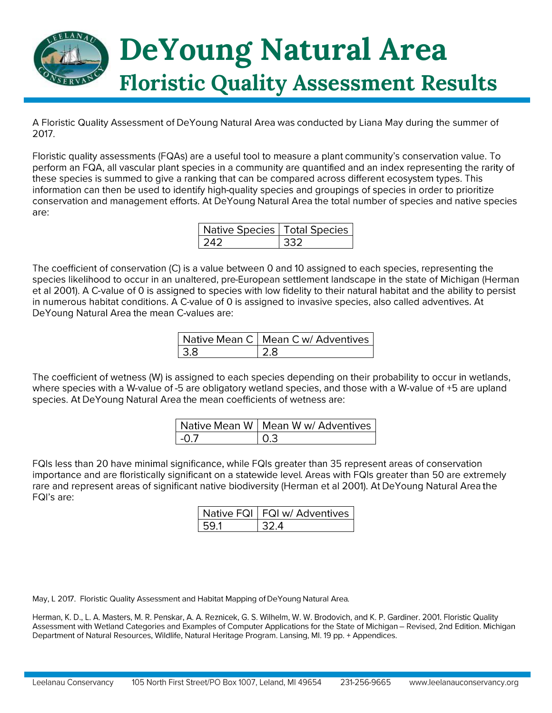

A Floristic Quality Assessment of DeYoung Natural Area was conducted by Liana May during the summer of 2017.

Floristic quality assessments (FQAs) are a useful tool to measure a plant community's conservation value. To perform an FQA, all vascular plant species in a community are quantified and an index representing the rarity of these species is summed to give a ranking that can be compared across different ecosystem types. This information can then be used to identify high-quality species and groupings of species in order to prioritize conservation and management efforts. At DeYoung Natural Area the total number of species and native species are:

| Native Species   Total Species |  |
|--------------------------------|--|
|                                |  |

The coefficient of conservation (C) is a value between 0 and 10 assigned to each species, representing the species likelihood to occur in an unaltered, pre-European settlement landscape in the state of Michigan (Herman et al 2001). A C-value of 0 is assigned to species with low fidelity to their natural habitat and the ability to persist in numerous habitat conditions. A C-value of 0 is assigned to invasive species, also called adventives. At DeYoung Natural Area the mean C-values are:

| Native Mean C   Mean C w/ Adventives |
|--------------------------------------|
|                                      |

The coefficient of wetness (W) is assigned to each species depending on their probability to occur in wetlands, where species with a W-value of -5 are obligatory wetland species, and those with a W-value of +5 are upland species. At DeYoung Natural Area the mean coefficients of wetness are:

|      | Native Mean W   Mean W w/ Adventives |
|------|--------------------------------------|
| -0.7 | I O 3                                |

FQIs less than 20 have minimal significance, while FQIs greater than 35 represent areas of conservation importance and are floristically significant on a statewide level. Areas with FQIs greater than 50 are extremely rare and represent areas of significant native biodiversity (Herman et al 2001). At DeYoung Natural Area the FQI's are:

| Native FQI   FQI w/ Adventives |
|--------------------------------|
|                                |

May, L 2017. Floristic Quality Assessment and Habitat Mapping of DeYoung Natural Area.

Herman, K. D., L. A. Masters, M. R. Penskar, A. A. Reznicek, G. S. Wilhelm, W. W. Brodovich, and K. P. Gardiner. 2001. Floristic Quality Assessment with Wetland Categories and Examples of Computer Applications for the State of Michigan - Revised, 2nd Edition. Michigan Department of Natural Resources, Wildlife, Natural Heritage Program. Lansing, MI. 19 pp. + Appendices.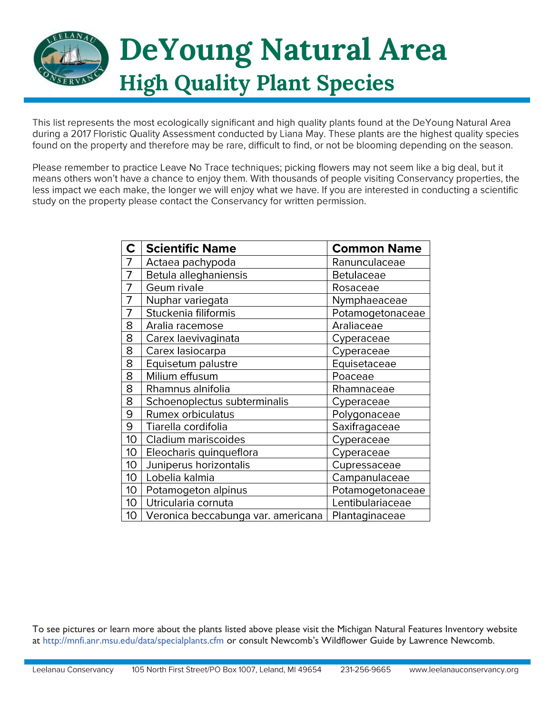

This list represents the most ecologically significant and high quality plants found at the DeYoung Natural Area during a 2017 Floristic Quality Assessment conducted by Liana May. These plants are the highest quality species found on the property and therefore may be rare, difficult to find, or not be blooming depending on the season.

Please remember to practice Leave No Trace techniques; picking flowers may not seem like a big deal, but it means others won't have a chance to enjoy them. With thousands of people visiting Conservancy properties, the less impact we each make, the longer we will enjoy what we have. If you are interested in conducting a scientific study on the property please contact the Conservancy for written permission.

| $\mathbf C$     | <b>Scientific Name</b>             | <b>Common Name</b> |
|-----------------|------------------------------------|--------------------|
| 7               | Actaea pachypoda                   | Ranunculaceae      |
| 7               | Betula alleghaniensis              | <b>Betulaceae</b>  |
| 7               | Geum rivale                        | Rosaceae           |
| $\overline{7}$  | Nuphar variegata                   | Nymphaeaceae       |
| 7               | Stuckenia filiformis               | Potamogetonaceae   |
| 8               | Aralia racemose                    | Araliaceae         |
| 8               | Carex laevivaginata                | Cyperaceae         |
| 8               | Carex lasiocarpa                   | Cyperaceae         |
| 8               | Equisetum palustre                 | Equisetaceae       |
| 8               | Milium effusum                     | Poaceae            |
| 8               | Rhamnus alnifolia                  | Rhamnaceae         |
| 8               | Schoenoplectus subterminalis       | Cyperaceae         |
| 9               | <b>Rumex orbiculatus</b>           | Polygonaceae       |
| 9               | Tiarella cordifolia                | Saxifragaceae      |
| 10 <sup>°</sup> | Cladium mariscoides                | Cyperaceae         |
| 10 <sup>°</sup> | Eleocharis quinqueflora            | Cyperaceae         |
| 10 <sup>°</sup> | Juniperus horizontalis             | Cupressaceae       |
| 10 <sup>°</sup> | Lobelia kalmia                     | Campanulaceae      |
| 10              | Potamogeton alpinus                | Potamogetonaceae   |
| 10 <sup>°</sup> | Utricularia cornuta                | Lentibulariaceae   |
| 10 <sup>°</sup> | Veronica beccabunga var. americana | Plantaginaceae     |

To see pictures or learn more about the plants listed above please visit the Michigan Natural Features Inventory website at http://mnfi.anr.msu.edu/data/specialplants.cfm or consult Newcomb's Wildflower Guide by Lawrence Newcomb.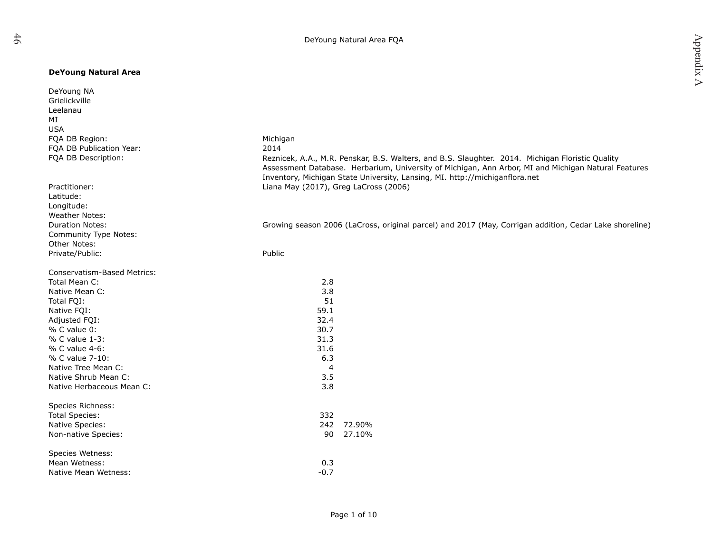## **DeYoung Natural Area**

| DeYoung NA<br>Grielickville<br>Leelanau<br>MI   |                                                                                                                                                                                                                                                                                                |
|-------------------------------------------------|------------------------------------------------------------------------------------------------------------------------------------------------------------------------------------------------------------------------------------------------------------------------------------------------|
| <b>USA</b>                                      |                                                                                                                                                                                                                                                                                                |
| FQA DB Region:                                  | Michigan                                                                                                                                                                                                                                                                                       |
| FQA DB Publication Year:<br>FOA DB Description: | 2014<br>Reznicek, A.A., M.R. Penskar, B.S. Walters, and B.S. Slaughter. 2014. Michigan Floristic Quality<br>Assessment Database. Herbarium, University of Michigan, Ann Arbor, MI and Michigan Natural Features<br>Inventory, Michigan State University, Lansing, MI. http://michiganflora.net |
| Practitioner:                                   | Liana May (2017), Greg LaCross (2006)                                                                                                                                                                                                                                                          |
| Latitude:                                       |                                                                                                                                                                                                                                                                                                |
| Longitude:                                      |                                                                                                                                                                                                                                                                                                |
| <b>Weather Notes:</b>                           |                                                                                                                                                                                                                                                                                                |
| <b>Duration Notes:</b>                          | Growing season 2006 (LaCross, original parcel) and 2017 (May, Corrigan addition, Cedar Lake shoreline)                                                                                                                                                                                         |
| Community Type Notes:                           |                                                                                                                                                                                                                                                                                                |
| Other Notes:                                    |                                                                                                                                                                                                                                                                                                |
| Private/Public:                                 | Public                                                                                                                                                                                                                                                                                         |
|                                                 |                                                                                                                                                                                                                                                                                                |
| <b>Conservatism-Based Metrics:</b>              |                                                                                                                                                                                                                                                                                                |
| Total Mean C:                                   | 2.8                                                                                                                                                                                                                                                                                            |
| Native Mean C:                                  | 3.8                                                                                                                                                                                                                                                                                            |
| Total FQI:                                      | 51                                                                                                                                                                                                                                                                                             |
| Native FQI:                                     | 59.1                                                                                                                                                                                                                                                                                           |
| Adjusted FQI:                                   | 32.4                                                                                                                                                                                                                                                                                           |
| % C value 0:                                    | 30.7                                                                                                                                                                                                                                                                                           |
| % C value 1-3:                                  | 31.3                                                                                                                                                                                                                                                                                           |
| % C value 4-6:                                  | 31.6                                                                                                                                                                                                                                                                                           |
| % C value 7-10:                                 | 6.3                                                                                                                                                                                                                                                                                            |
| Native Tree Mean C:                             | 4                                                                                                                                                                                                                                                                                              |
| Native Shrub Mean C:                            | 3.5                                                                                                                                                                                                                                                                                            |
| Native Herbaceous Mean C:                       | 3.8                                                                                                                                                                                                                                                                                            |
| Species Richness:                               |                                                                                                                                                                                                                                                                                                |
| <b>Total Species:</b>                           | 332                                                                                                                                                                                                                                                                                            |
| Native Species:                                 | 242 72.90%                                                                                                                                                                                                                                                                                     |
| Non-native Species:                             | 90 27.10%                                                                                                                                                                                                                                                                                      |
|                                                 |                                                                                                                                                                                                                                                                                                |
| Species Wetness:                                |                                                                                                                                                                                                                                                                                                |
| Mean Wetness:                                   | 0.3                                                                                                                                                                                                                                                                                            |
| Native Mean Wetness:                            | $-0.7$                                                                                                                                                                                                                                                                                         |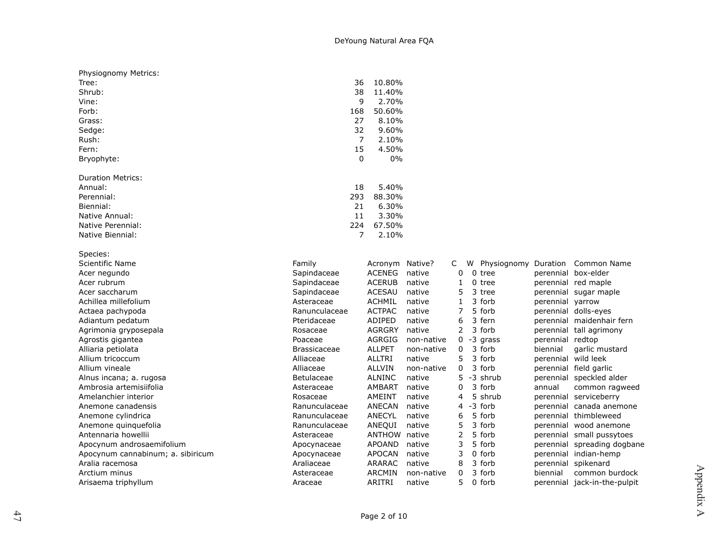| Physiognomy Metrics:              |                     |                      |            |                |   |             |                  |                              |
|-----------------------------------|---------------------|----------------------|------------|----------------|---|-------------|------------------|------------------------------|
| Tree:                             | 36                  | 10.80%               |            |                |   |             |                  |                              |
| Shrub:                            | 38                  | 11.40%               |            |                |   |             |                  |                              |
| Vine:                             | 9                   | 2.70%                |            |                |   |             |                  |                              |
| Forb:                             | 168                 | 50.60%               |            |                |   |             |                  |                              |
| Grass:                            | 27                  | 8.10%                |            |                |   |             |                  |                              |
| Sedge:                            | 32                  | 9.60%                |            |                |   |             |                  |                              |
| Rush:                             | $\overline{7}$      | 2.10%                |            |                |   |             |                  |                              |
| Fern:                             | 15                  | 4.50%                |            |                |   |             |                  |                              |
| Bryophyte:                        | 0                   | 0%                   |            |                |   |             |                  |                              |
| <b>Duration Metrics:</b>          |                     |                      |            |                |   |             |                  |                              |
| Annual:                           | 18                  | 5.40%                |            |                |   |             |                  |                              |
| Perennial:                        | 293                 | 88.30%               |            |                |   |             |                  |                              |
| Biennial:                         | 21                  | 6.30%                |            |                |   |             |                  |                              |
| Native Annual:                    | 11                  | 3.30%                |            |                |   |             |                  |                              |
| Native Perennial:                 | 224                 | 67.50%               |            |                |   |             |                  |                              |
| Native Biennial:                  | 7                   | 2.10%                |            |                |   |             |                  |                              |
| Species:                          |                     |                      |            |                |   |             |                  |                              |
| Scientific Name                   | Family              | Acronym Native?      |            | C              | W | Physiognomy | Duration         | Common Name                  |
| Acer negundo                      | Sapindaceae         | <b>ACENEG</b>        | native     | 0              |   | $0$ tree    |                  | perennial box-elder          |
| Acer rubrum                       | Sapindaceae         | <b>ACERUB</b>        | native     | 1              |   | 0 tree      |                  | perennial red maple          |
| Acer saccharum                    | Sapindaceae         | <b>ACESAU</b>        | native     | 5              |   | 3 tree      |                  | perennial sugar maple        |
| Achillea millefolium              | Asteraceae          | <b>ACHMIL</b>        | native     | 1              |   | 3 forb      | perennial yarrow |                              |
| Actaea pachypoda                  | Ranunculaceae       | <b>ACTPAC</b>        | native     | $\overline{7}$ |   | 5 forb      |                  | perennial dolls-eyes         |
| Adiantum pedatum                  | Pteridaceae         | <b>ADIPED</b>        | native     | 6              |   | 3 fern      |                  | perennial maidenhair fern    |
| Agrimonia gryposepala             | Rosaceae            | <b>AGRGRY</b>        | native     | $\overline{2}$ |   | 3 forb      |                  | perennial tall agrimony      |
| Agrostis gigantea                 | Poaceae             | <b>AGRGIG</b>        | non-native | 0              |   | -3 grass    | perennial redtop |                              |
| Alliaria petiolata                | <b>Brassicaceae</b> | <b>ALLPET</b>        | non-native | 0              |   | 3 forb      | biennial         | garlic mustard               |
| Allium tricoccum                  | Alliaceae           | <b>ALLTRI</b>        | native     | 5              |   | 3 forb      |                  | perennial wild leek          |
| Allium vineale                    | Alliaceae           | <b>ALLVIN</b>        | non-native | 0              |   | 3 forb      |                  | perennial field garlic       |
| Alnus incana; a. rugosa           | <b>Betulaceae</b>   | <b>ALNINC</b>        | native     | 5              |   | -3 shrub    |                  | perennial speckled alder     |
| Ambrosia artemisiifolia           | Asteraceae          | AMBART               | native     | $\Omega$       |   | 3 forb      | annual           | common ragweed               |
| Amelanchier interior              | Rosaceae            | AMEINT               | native     | 4              |   | 5 shrub     |                  | perennial serviceberry       |
| Anemone canadensis                | Ranunculaceae       | ANECAN               | native     | 4              |   | -3 forb     |                  | perennial canada anemone     |
| Anemone cylindrica                | Ranunculaceae       | ANECYL               | native     | 6              |   | 5 forb      |                  | perennial thimbleweed        |
| Anemone quinquefolia              | Ranunculaceae       | ANEQUI               | native     | 5              |   | 3 forb      |                  | perennial wood anemone       |
| Antennaria howellii               | Asteraceae          | <b>ANTHOW native</b> |            | 2              |   | 5 forb      |                  | perennial small pussytoes    |
| Apocynum androsaemifolium         | Apocynaceae         | APOAND               | native     | 3              |   | 5 forb      |                  | perennial spreading dogbane  |
| Apocynum cannabinum; a. sibiricum | Apocynaceae         | <b>APOCAN</b>        | native     | 3              |   | 0 forb      |                  | perennial indian-hemp        |
| Aralia racemosa                   | Araliaceae          | ARARAC               | native     | 8              |   | 3 forb      |                  | perennial spikenard          |
| Arctium minus                     | Asteraceae          | ARCMIN               | non-native | 0              |   | 3 forb      | biennial         | common burdock               |
| Arisaema triphyllum               | Araceae             | ARITRI               | native     | 5              |   | 0 forb      |                  | perennial jack-in-the-pulpit |

47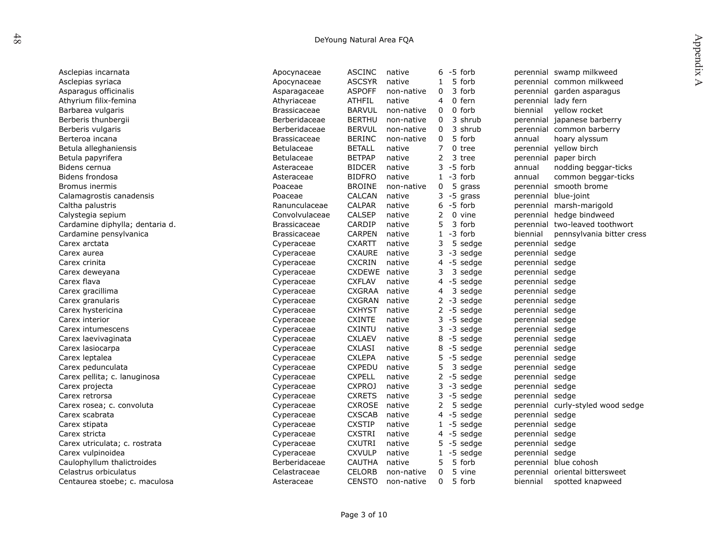| DeYoung Natural Area FQA        |                     |               |            |                |                  |                 |                                               |  |  |
|---------------------------------|---------------------|---------------|------------|----------------|------------------|-----------------|-----------------------------------------------|--|--|
|                                 |                     |               |            |                |                  |                 | Appendix                                      |  |  |
| Asclepias incarnata             | Apocynaceae         | <b>ASCINC</b> | native     |                | $6 - 5$ forb     |                 | perennial swamp milkweed                      |  |  |
| Asclepias syriaca               | Apocynaceae         | <b>ASCSYR</b> | native     | $\mathbf{1}$   | 5 forb           |                 | $\triangleright$<br>perennial common milkweed |  |  |
| Asparagus officinalis           | Asparagaceae        | <b>ASPOFF</b> | non-native | 0              | 3 forb           |                 | perennial garden asparagus                    |  |  |
| Athyrium filix-femina           | Athyriaceae         | <b>ATHFIL</b> | native     | 4              | 0 fern           |                 | perennial lady fern                           |  |  |
| Barbarea vulgaris               | <b>Brassicaceae</b> | <b>BARVUL</b> | non-native | 0              | 0 forb           | biennial        | yellow rocket                                 |  |  |
| Berberis thunbergii             | Berberidaceae       | <b>BERTHU</b> | non-native | 0              | 3 shrub          | perennial       | japanese barberry                             |  |  |
| Berberis vulgaris               | Berberidaceae       | <b>BERVUL</b> | non-native | 0              | 3 shrub          | perennial       | common barberry                               |  |  |
| Berteroa incana                 | <b>Brassicaceae</b> | <b>BERINC</b> | non-native | $\Omega$       | 5 forb           | annual          | hoary alyssum                                 |  |  |
| Betula alleghaniensis           | Betulaceae          | <b>BETALL</b> | native     | 7              | 0 tree           | perennial       | yellow birch                                  |  |  |
| Betula papyrifera               | Betulaceae          | <b>BETPAP</b> | native     | 2              | 3 tree           | perennial       | paper birch                                   |  |  |
| Bidens cernua                   | Asteraceae          | <b>BIDCER</b> | native     | 3              | -5 forb          | annual          | nodding beggar-ticks                          |  |  |
| Bidens frondosa                 | Asteraceae          | <b>BIDFRO</b> | native     |                | $1 - 3$ forb     | annual          | common beggar-ticks                           |  |  |
| Bromus inermis                  | Poaceae             | <b>BROINE</b> | non-native | 0              | 5<br>grass       | perennial       | smooth brome                                  |  |  |
| Calamagrostis canadensis        | Poaceae             | <b>CALCAN</b> | native     | 3              | -5<br>grass      | perennial       | blue-joint                                    |  |  |
| Caltha palustris                | Ranunculaceae       | <b>CALPAR</b> | native     |                | $6 - 5$ forb     |                 | perennial marsh-marigold                      |  |  |
| Calystegia sepium               | Convolvulaceae      | <b>CALSEP</b> | native     | 2              | 0 vine           |                 | perennial hedge bindweed                      |  |  |
| Cardamine diphylla; dentaria d. | <b>Brassicaceae</b> | CARDIP        | native     | 5              | 3 forb           | perennial       | two-leaved toothwort                          |  |  |
| Cardamine pensylvanica          | <b>Brassicaceae</b> | <b>CARPEN</b> | native     | $\mathbf{1}$   | -3 forb          | biennial        | pennsylvania bitter cress                     |  |  |
| Carex arctata                   | Cyperaceae          | <b>CXARTT</b> | native     | 3              | 5 sedge          | perennial sedge |                                               |  |  |
| Carex aurea                     | Cyperaceae          | <b>CXAURE</b> | native     | 3              | -3 sedge         | perennial sedge |                                               |  |  |
| Carex crinita                   | Cyperaceae          | <b>CXCRIN</b> | native     | 4              | -5<br>sedge      | perennial sedge |                                               |  |  |
| Carex deweyana                  | Cyperaceae          | CXDEWE native |            | 3              | 3 sedge          | perennial sedge |                                               |  |  |
| Carex flava                     | Cyperaceae          | <b>CXFLAV</b> | native     | 4              | $-5$<br>sedge    | perennial sedge |                                               |  |  |
| Carex gracillima                | Cyperaceae          | <b>CXGRAA</b> | native     | 4              | 3 sedge          | perennial sedge |                                               |  |  |
| Carex granularis                | Cyperaceae          | <b>CXGRAN</b> | native     |                | $2 - 3$ sedge    | perennial sedge |                                               |  |  |
| Carex hystericina               | Cyperaceae          | <b>CXHYST</b> | native     |                | $2 - 5$<br>sedge | perennial sedge |                                               |  |  |
| Carex interior                  | Cyperaceae          | <b>CXINTE</b> | native     |                | $3 - 5$ sedge    | perennial sedge |                                               |  |  |
| Carex intumescens               | Cyperaceae          | <b>CXINTU</b> | native     | 3              | $-3$<br>sedge    | perennial sedge |                                               |  |  |
| Carex laevivaginata             | Cyperaceae          | <b>CXLAEV</b> | native     |                | 8 -5 sedge       | perennial sedge |                                               |  |  |
| Carex lasiocarpa                | Cyperaceae          | <b>CXLASI</b> | native     | 8              | -5 sedge         | perennial sedge |                                               |  |  |
| Carex leptalea                  | Cyperaceae          | <b>CXLEPA</b> | native     | 5              | -5 sedge         | perennial sedge |                                               |  |  |
| Carex pedunculata               | Cyperaceae          | <b>CXPEDU</b> | native     | 5              | 3<br>sedge       | perennial sedge |                                               |  |  |
| Carex pellita; c. lanuginosa    | Cyperaceae          | <b>CXPELL</b> | native     | $\overline{2}$ | $-5$<br>sedge    | perennial sedge |                                               |  |  |
| Carex projecta                  | Cyperaceae          | <b>CXPROJ</b> | native     |                | $3 - 3$ sedge    | perennial sedge |                                               |  |  |
| Carex retrorsa                  | Cyperaceae          | <b>CXRETS</b> | native     | 3              | -5<br>sedge      | perennial sedge |                                               |  |  |
| Carex rosea; c. convoluta       | Cyperaceae          | <b>CXROSE</b> | native     | 2              | 5<br>sedge       |                 | perennial curly-styled wood sedge             |  |  |
| Carex scabrata                  | Cyperaceae          | <b>CXSCAB</b> | native     | 4              | -5 sedge         | perennial sedge |                                               |  |  |
| Carex stipata                   | Cyperaceae          | <b>CXSTIP</b> | native     |                | $1 - 5$ sedge    | perennial sedge |                                               |  |  |
| Carex stricta                   | Cyperaceae          | <b>CXSTRI</b> | native     |                | $4 - 5$ sedge    | perennial sedge |                                               |  |  |
| Carex utriculata; c. rostrata   | Cyperaceae          | <b>CXUTRI</b> | native     | 5.             | -5<br>sedge      | perennial sedge |                                               |  |  |
| Carex vulpinoidea               | Cyperaceae          | <b>CXVULP</b> | native     |                | $1 - 5$ sedge    | perennial sedge |                                               |  |  |
| Caulophyllum thalictroides      | Berberidaceae       | <b>CAUTHA</b> | native     | 5              | 5 forb           | perennial       | blue cohosh                                   |  |  |
| Celastrus orbiculatus           | Celastraceae        | <b>CELORB</b> | non-native | 0              | 5 vine           | perennial       | oriental bittersweet                          |  |  |
| Centaurea stoebe; c. maculosa   | Asteraceae          | <b>CENSTO</b> | non-native | $\Omega$       | 5 forb           | biennial        | spotted knapweed                              |  |  |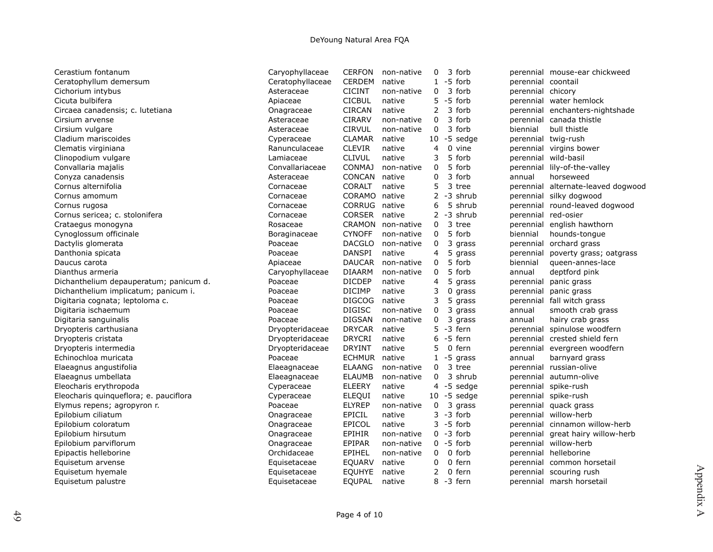| Cerastium fontanum                     | Caryophyllaceae  | <b>CERFON</b> | non-native | 0              | 3 forb         |                        | perennial mouse-ear chickweed     |
|----------------------------------------|------------------|---------------|------------|----------------|----------------|------------------------|-----------------------------------|
| Ceratophyllum demersum                 | Ceratophyllaceae | <b>CERDEM</b> | native     |                | $1 - 5$ forb   |                        | perennial coontail                |
| Cichorium intybus                      | Asteraceae       | <b>CICINT</b> | non-native | 0              | 3 forb         |                        | perennial chicory                 |
| Cicuta bulbifera                       | Apiaceae         | <b>CICBUL</b> | native     |                | $5 - 5$ forb   |                        | perennial water hemlock           |
| Circaea canadensis; c. lutetiana       | Onagraceae       | <b>CIRCAN</b> | native     | 2              | 3 forb         |                        | perennial enchanters-nightshade   |
| Cirsium arvense                        | Asteraceae       | <b>CIRARV</b> | non-native | 0              | 3 forb         |                        | perennial canada thistle          |
| Cirsium vulgare                        | Asteraceae       | <b>CIRVUL</b> | non-native | 0              | 3 forb         | biennial               | bull thistle                      |
| Cladium mariscoides                    | Cyperaceae       | <b>CLAMAR</b> | native     |                | $10 - 5$ sedge |                        | perennial twig-rush               |
| Clematis virginiana                    | Ranunculaceae    | <b>CLEVIR</b> | native     | 4              | 0 vine         |                        | perennial virgins bower           |
| Clinopodium vulgare                    | Lamiaceae        | <b>CLIVUL</b> | native     | 3              | 5 forb         | perennial              | wild-basil                        |
| Convallaria majalis                    | Convallariaceae  | <b>CONMAJ</b> | non-native | 0              | 5 forb         | perennial              | lily-of-the-valley                |
| Conyza canadensis                      | Asteraceae       | <b>CONCAN</b> | native     | 0              | 3 forb         | annual                 | horseweed                         |
| Cornus alternifolia                    | Cornaceae        | <b>CORALT</b> | native     | 5              | 3 tree         | perennial              | alternate-leaved dogwood          |
| Cornus amomum                          | Cornaceae        | CORAMO        | native     | $\overline{2}$ | -3 shrub       | perennial              | silky dogwood                     |
| Cornus rugosa                          | Cornaceae        | CORRUG        | native     | 6              |                | 5 shrub                | perennial round-leaved dogwood    |
| Cornus sericea; c. stolonifera         | Cornaceae        | <b>CORSER</b> | native     |                | $2 - 3$ shrub  | perennial              | red-osier                         |
| Crataegus monogyna                     | Rosaceae         | <b>CRAMON</b> | non-native | $\Omega$       | 3 tree         | perennial              | english hawthorn                  |
| Cynoglossum officinale                 | Boraginaceae     | <b>CYNOFF</b> | non-native | 0              | 5 forb         | biennial               | hounds-tongue                     |
| Dactylis glomerata                     | Poaceae          | <b>DACGLO</b> | non-native | 0              |                | 3 grass<br>perennial   | orchard grass                     |
| Danthonia spicata                      | Poaceae          | <b>DANSPI</b> | native     | 4              |                | 5 grass<br>perennial   | poverty grass; oatgrass           |
| Daucus carota                          | Apiaceae         | <b>DAUCAR</b> | non-native | 0              | 5 forb         | biennial               | queen-annes-lace                  |
| Dianthus armeria                       | Caryophyllaceae  | <b>DIAARM</b> | non-native | 0              | 5 forb         | annual                 | deptford pink                     |
| Dichanthelium depauperatum; panicum d. | Poaceae          | <b>DICDEP</b> | native     | 4              |                | 5 grass<br>perennial   | panic grass                       |
| Dichanthelium implicatum; panicum i.   | Poaceae          | <b>DICIMP</b> | native     | 3              |                | $0$ grass<br>perennial | panic grass                       |
| Digitaria cognata; leptoloma c.        | Poaceae          | <b>DIGCOG</b> | native     | 3              |                | 5 grass<br>perennial   | fall witch grass                  |
| Digitaria ischaemum                    | Poaceae          | <b>DIGISC</b> | non-native | 0              |                | 3 grass<br>annual      | smooth crab grass                 |
| Digitaria sanguinalis                  | Poaceae          | <b>DIGSAN</b> | non-native | 0              |                | 3 grass<br>annual      | hairy crab grass                  |
| Dryopteris carthusiana                 | Dryopteridaceae  | <b>DRYCAR</b> | native     |                | $5 - 3$ fern   |                        | perennial spinulose woodfern      |
| Dryopteris cristata                    | Dryopteridaceae  | <b>DRYCRI</b> | native     | 6              | -5 fern        |                        | perennial crested shield fern     |
| Dryopteris intermedia                  | Dryopteridaceae  | <b>DRYINT</b> | native     | 5              | 0 fern         |                        | perennial evergreen woodfern      |
| Echinochloa muricata                   | Poaceae          | <b>ECHMUR</b> | native     |                | $1 - 5$ grass  | annual                 | barnyard grass                    |
| Elaeagnus angustifolia                 | Elaeagnaceae     | <b>ELAANG</b> | non-native | 0              | 3 tree         |                        | perennial russian-olive           |
| Elaeagnus umbellata                    | Elaeagnaceae     | <b>ELAUMB</b> | non-native | $\Omega$       |                | 3 shrub<br>perennial   | autumn-olive                      |
| Eleocharis erythropoda                 | Cyperaceae       | <b>ELEERY</b> | native     |                | $4 - 5$ sedge  | perennial              | spike-rush                        |
| Eleocharis quinqueflora; e. pauciflora | Cyperaceae       | <b>ELEQUI</b> | native     |                | $10 - 5$ sedge |                        | perennial spike-rush              |
| Elymus repens; agropyron r.            | Poaceae          | <b>ELYREP</b> | non-native | 0              | 3              | grass<br>perennial     | quack grass                       |
| Epilobium ciliatum                     | Onagraceae       | EPICIL        | native     |                | $3 - 3$ forb   | perennial              | willow-herb                       |
| Epilobium coloratum                    | Onagraceae       | <b>EPICOL</b> | native     |                | $3 - 5$ forb   |                        | perennial cinnamon willow-herb    |
| Epilobium hirsutum                     | Onagraceae       | <b>EPIHIR</b> | non-native |                | $0 - 3$ forb   |                        | perennial great hairy willow-herb |
| Epilobium parviflorum                  | Onagraceae       | EPIPAR        | non-native |                | $0 - 5$ forb   |                        | perennial willow-herb             |
| Epipactis helleborine                  | Orchidaceae      | EPIHEL        | non-native | $\Omega$       | 0 forb         |                        | perennial helleborine             |
| Equisetum arvense                      | Equisetaceae     | EQUARV        | native     | 0              | 0 fern         |                        | perennial common horsetail        |
| Equisetum hyemale                      | Equisetaceae     | <b>EQUHYE</b> | native     | $\overline{2}$ | 0 fern         |                        | perennial scouring rush           |
| Equisetum palustre                     | Equisetaceae     | <b>EQUPAL</b> | native     |                | 8 -3 fern      |                        | perennial marsh horsetail         |
|                                        |                  |               |            |                |                |                        |                                   |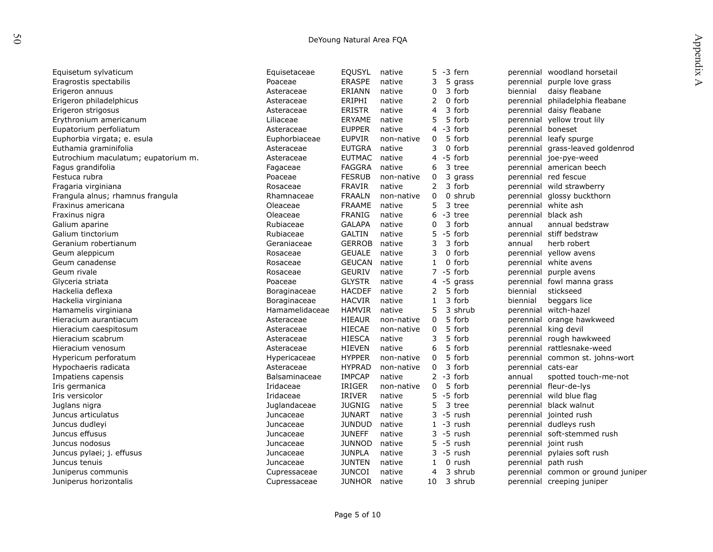| J |
|---|
|   |

| DeYoung Natural Area FQA            |                |               |            |              |                  |                     |                                    |                  |  |  |
|-------------------------------------|----------------|---------------|------------|--------------|------------------|---------------------|------------------------------------|------------------|--|--|
|                                     |                |               |            |              |                  |                     |                                    | Appendix         |  |  |
| Equisetum sylvaticum                | Equisetaceae   | EQUSYL        | native     |              | 5 -3 fern        |                     | perennial woodland horsetail       |                  |  |  |
| Eragrostis spectabilis              | Poaceae        | <b>ERASPE</b> | native     | 3            | 5 grass          | perennial           | purple love grass                  | $\triangleright$ |  |  |
| Erigeron annuus                     | Asteraceae     | ERIANN        | native     | 0            | 3 forb           | biennial            | daisy fleabane                     |                  |  |  |
| Erigeron philadelphicus             | Asteraceae     | ERIPHI        | native     | 2            | 0 forb           | perennial           | philadelphia fleabane              |                  |  |  |
| Erigeron strigosus                  | Asteraceae     | <b>ERISTR</b> | native     | 4            | 3 forb           |                     | perennial daisy fleabane           |                  |  |  |
| Erythronium americanum              | Liliaceae      | <b>ERYAME</b> | native     | 5            | 5 forb           |                     | perennial yellow trout lily        |                  |  |  |
| Eupatorium perfoliatum              | Asteraceae     | <b>EUPPER</b> | native     | 4            | -3 forb          | perennial boneset   |                                    |                  |  |  |
| Euphorbia virgata; e. esula         | Euphorbiaceae  | <b>EUPVIR</b> | non-native | 0            | 5 forb           |                     | perennial leafy spurge             |                  |  |  |
| Euthamia graminifolia               | Asteraceae     | <b>EUTGRA</b> | native     | 3            | $\Omega$<br>forb |                     | perennial grass-leaved goldenrod   |                  |  |  |
| Eutrochium maculatum; eupatorium m. | Asteraceae     | <b>EUTMAC</b> | native     |              | $4 - 5$ forb     |                     | perennial joe-pye-weed             |                  |  |  |
| Fagus grandifolia                   | Fagaceae       | <b>FAGGRA</b> | native     | 6            | 3 tree           |                     | perennial american beech           |                  |  |  |
| Festuca rubra                       | Poaceae        | <b>FESRUB</b> | non-native | 0            | 3 grass          |                     | perennial red fescue               |                  |  |  |
| Fragaria virginiana                 | Rosaceae       | <b>FRAVIR</b> | native     | 2            | 3 forb           |                     | perennial wild strawberry          |                  |  |  |
| Frangula alnus; rhamnus frangula    | Rhamnaceae     | <b>FRAALN</b> | non-native | 0            | 0 shrub          |                     | perennial glossy buckthorn         |                  |  |  |
| Fraxinus americana                  | Oleaceae       | <b>FRAAME</b> | native     | 5            | 3 tree           |                     | perennial white ash                |                  |  |  |
| Fraxinus nigra                      | Oleaceae       | <b>FRANIG</b> | native     | 6            | -3 tree          | perennial black ash |                                    |                  |  |  |
| Galium aparine                      | Rubiaceae      | <b>GALAPA</b> | native     | 0            | 3 forb           | annual              | annual bedstraw                    |                  |  |  |
| Galium tinctorium                   | Rubiaceae      | <b>GALTIN</b> | native     | 5            | -5 forb          |                     | perennial stiff bedstraw           |                  |  |  |
| Geranium robertianum                | Geraniaceae    | <b>GERROB</b> | native     | 3            | 3 forb           | annual              | herb robert                        |                  |  |  |
| Geum aleppicum                      | Rosaceae       | <b>GEUALE</b> | native     | 3            | 0 forb           |                     | perennial yellow avens             |                  |  |  |
| Geum canadense                      | Rosaceae       | <b>GEUCAN</b> | native     | $\mathbf{1}$ | 0 forb           |                     | perennial white avens              |                  |  |  |
| Geum rivale                         | Rosaceae       | <b>GEURIV</b> | native     |              | $7 - 5$ forb     | perennial           | purple avens                       |                  |  |  |
| Glyceria striata                    | Poaceae        | <b>GLYSTR</b> | native     |              | $4 - 5$ grass    |                     | perennial fowl manna grass         |                  |  |  |
| Hackelia deflexa                    | Boraginaceae   | <b>HACDEF</b> | native     | 2            | 5 forb           | biennial            | stickseed                          |                  |  |  |
| Hackelia virginiana                 | Boraginaceae   | <b>HACVIR</b> | native     | 1            | 3 forb           | biennial            | beggars lice                       |                  |  |  |
| Hamamelis virginiana                | Hamamelidaceae | <b>HAMVIR</b> | native     | 5            | 3 shrub          | perennial           | witch-hazel                        |                  |  |  |
| Hieracium aurantiacum               | Asteraceae     | <b>HIEAUR</b> | non-native | 0            | 5 forb           | perennial           | orange hawkweed                    |                  |  |  |
| Hieracium caespitosum               | Asteraceae     | <b>HIECAE</b> | non-native | 0            | 5 forb           |                     | perennial king devil               |                  |  |  |
| Hieracium scabrum                   | Asteraceae     | <b>HIESCA</b> | native     | 3            | 5 forb           |                     | perennial rough hawkweed           |                  |  |  |
| Hieracium venosum                   | Asteraceae     | <b>HIEVEN</b> | native     | 6            | 5 forb           |                     | perennial rattlesnake-weed         |                  |  |  |
| Hypericum perforatum                | Hypericaceae   | <b>HYPPER</b> | non-native | 0            | 5 forb           |                     | perennial common st. johns-wort    |                  |  |  |
| Hypochaeris radicata                | Asteraceae     | <b>HYPRAD</b> | non-native | 0            | 3 forb           | perennial cats-ear  |                                    |                  |  |  |
| Impatiens capensis                  | Balsaminaceae  | <b>IMPCAP</b> | native     |              | $2 - 3$ forb     | annual              | spotted touch-me-not               |                  |  |  |
| Iris germanica                      | Iridaceae      | <b>IRIGER</b> | non-native | 0            | 5 forb           |                     | perennial fleur-de-lys             |                  |  |  |
| Iris versicolor                     | Iridaceae      | <b>IRIVER</b> | native     | 5            | -5 forb          |                     | perennial wild blue flag           |                  |  |  |
| Juglans nigra                       | Juglandaceae   | <b>JUGNIG</b> | native     | 5            | 3 tree           |                     | perennial black walnut             |                  |  |  |
| Juncus articulatus                  | Juncaceae      | <b>JUNART</b> | native     | 3            | -5 rush          |                     | perennial jointed rush             |                  |  |  |
| Juncus dudleyi                      | Juncaceae      | <b>JUNDUD</b> | native     |              | $1 - 3$ rush     |                     | perennial dudleys rush             |                  |  |  |
| Juncus effusus                      | Juncaceae      | <b>JUNEFF</b> | native     |              | $3 - 5$ rush     |                     | perennial soft-stemmed rush        |                  |  |  |
| Juncus nodosus                      | Juncaceae      | <b>JUNNOD</b> | native     |              | 5 -5 rush        |                     | perennial joint rush               |                  |  |  |
| Juncus pylaei; j. effusus           | Juncaceae      | <b>JUNPLA</b> | native     |              | 3 -5 rush        |                     | perennial pylaies soft rush        |                  |  |  |
| Juncus tenuis                       | Juncaceae      | <b>JUNTEN</b> | native     | 1            | 0 rush           | perennial           | path rush                          |                  |  |  |
| Juniperus communis                  | Cupressaceae   | <b>JUNCOI</b> | native     | 4            | 3 shrub          |                     | perennial common or ground juniper |                  |  |  |
| Juniperus horizontalis              | Cupressaceae   | <b>JUNHOR</b> | native     | 10           | 3 shrub          |                     | perennial creeping juniper         |                  |  |  |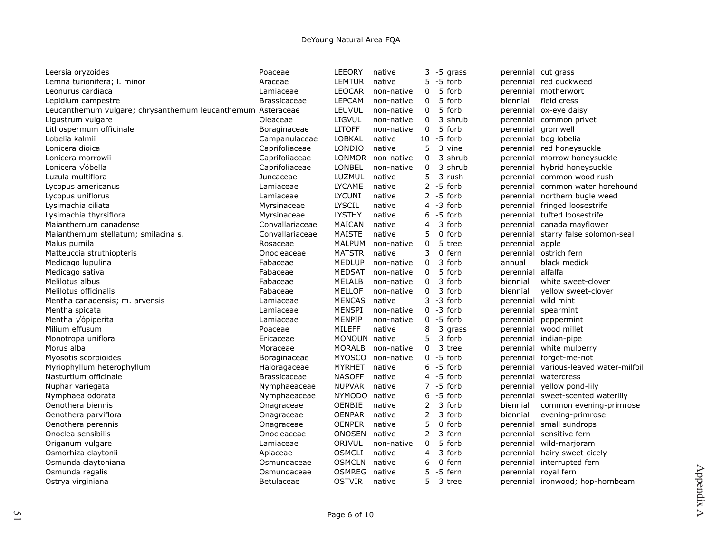| Leersia oryzoides                                           | Poaceae             | LEEORY        | native            | 3            |          | -5 grass      | perennial cut grass |                                        |
|-------------------------------------------------------------|---------------------|---------------|-------------------|--------------|----------|---------------|---------------------|----------------------------------------|
| Lemna turionifera; I. minor                                 | Araceae             | LEMTUR        | native            | 5.           |          | -5 forb       |                     | perennial red duckweed                 |
| Leonurus cardiaca                                           | Lamiaceae           | <b>LEOCAR</b> | non-native        | 0            |          | 5 forb        |                     | perennial motherwort                   |
| Lepidium campestre                                          | <b>Brassicaceae</b> | <b>LEPCAM</b> | non-native        | 0            |          | 5 forb        | biennial            | field cress                            |
| Leucanthemum vulgare; chrysanthemum leucanthemum Asteraceae |                     | LEUVUL        | non-native        | $\Omega$     |          | 5 forb        |                     | perennial ox-eye daisy                 |
| Ligustrum vulgare                                           | Oleaceae            | <b>LIGVUL</b> | non-native        | 0            |          | 3 shrub       |                     | perennial common privet                |
| Lithospermum officinale                                     | Boraginaceae        | <b>LITOFF</b> | non-native        | $\mathbf{0}$ |          | 5 forb        | perennial gromwell  |                                        |
| Lobelia kalmii                                              | Campanulaceae       | LOBKAL        | native            |              |          | $10 - 5$ forb |                     | perennial bog lobelia                  |
| Lonicera dioica                                             | Caprifoliaceae      | LONDIO        | native            | 5            |          | 3 vine        |                     | perennial red honeysuckle              |
| Lonicera morrowii                                           | Caprifoliaceae      |               | LONMOR non-native | 0            |          | 3 shrub       |                     | perennial morrow honeysuckle           |
| Lonicera √óbella                                            | Caprifoliaceae      | LONBEL        | non-native        | 0            |          | 3 shrub       |                     | perennial hybrid honeysuckle           |
| Luzula multiflora                                           | Juncaceae           | LUZMUL        | native            | 5            |          | 3 rush        |                     | perennial common wood rush             |
| Lycopus americanus                                          | Lamiaceae           | <b>LYCAME</b> | native            |              |          | $2 - 5$ forb  |                     | perennial common water horehound       |
| Lycopus uniflorus                                           | Lamiaceae           | <b>LYCUNI</b> | native            |              |          | $2 - 5$ forb  |                     | perennial northern bugle weed          |
| Lysimachia ciliata                                          | Myrsinaceae         | <b>LYSCIL</b> | native            |              |          | $4 - 3$ forb  |                     | perennial fringed loosestrife          |
| Lysimachia thyrsiflora                                      | Myrsinaceae         | <b>LYSTHY</b> | native            | 6            |          | -5 forb       |                     | perennial tufted loosestrife           |
| Maianthemum canadense                                       | Convallariaceae     | MAICAN        | native            | 4            |          | 3 forb        |                     | perennial canada mayflower             |
| Maianthemum stellatum; smilacina s.                         | Convallariaceae     | <b>MAISTE</b> | native            | 5            |          | 0 forb        |                     | perennial starry false solomon-seal    |
| Malus pumila                                                | Rosaceae            | MALPUM        | non-native        | 0            |          | 5 tree        | perennial apple     |                                        |
| Matteuccia struthiopteris                                   | Onocleaceae         | <b>MATSTR</b> | native            | 3            | $\Omega$ | fern          |                     | perennial ostrich fern                 |
| Medicago lupulina                                           | Fabaceae            | <b>MEDLUP</b> | non-native        | 0            |          | 3 forb        | annual              | black medick                           |
| Medicago sativa                                             | Fabaceae            | <b>MEDSAT</b> | non-native        | 0            |          | 5 forb        | perennial alfalfa   |                                        |
| Melilotus albus                                             | Fabaceae            | <b>MELALB</b> | non-native        | 0            |          | 3 forb        | biennial            | white sweet-clover                     |
| Melilotus officinalis                                       | Fabaceae            | <b>MELLOF</b> | non-native        | 0            |          | 3 forb        | biennial            | yellow sweet-clover                    |
| Mentha canadensis; m. arvensis                              | Lamiaceae           | <b>MENCAS</b> | native            |              |          | $3 - 3$ forb  |                     | perennial wild mint                    |
| Mentha spicata                                              | Lamiaceae           | MENSPI        | non-native        |              |          | $0 - 3$ forb  |                     | perennial spearmint                    |
| Mentha $\sqrt{\phi}$ piperita                               | Lamiaceae           | MENPIP        | non-native        |              |          | $0 - 5$ forb  |                     | perennial peppermint                   |
| Milium effusum                                              | Poaceae             | MILEFF        | native            | 8            |          | 3 grass       |                     | perennial wood millet                  |
| Monotropa uniflora                                          | Ericaceae           | MONOUN native |                   | 5            |          | 3 forb        |                     | perennial indian-pipe                  |
| Morus alba                                                  | Moraceae            | <b>MORALB</b> | non-native        | $\Omega$     |          | 3 tree        |                     | perennial white mulberry               |
| Myosotis scorpioides                                        | Boraginaceae        |               | MYOSCO non-native |              |          | $0 - 5$ forb  |                     | perennial forget-me-not                |
| Myriophyllum heterophyllum                                  | Haloragaceae        | <b>MYRHET</b> | native            |              |          | $6 - 5$ forb  |                     | perennial various-leaved water-milfoil |
| Nasturtium officinale                                       | Brassicaceae        | <b>NASOFF</b> | native            |              |          | $4 - 5$ forb  |                     | perennial watercress                   |
| Nuphar variegata                                            | Nymphaeaceae        | <b>NUPVAR</b> | native            |              |          | $7 - 5$ forb  |                     | perennial yellow pond-lily             |
| Nymphaea odorata                                            | Nymphaeaceae        | NYMODO native |                   |              |          | $6 - 5$ forb  |                     | perennial sweet-scented waterlily      |
| Oenothera biennis                                           | Onagraceae          | OENBIE        | native            | 2            |          | 3 forb        | biennial            | common evening-primrose                |
| Oenothera parviflora                                        | Onagraceae          | <b>OENPAR</b> | native            | 2            |          | 3 forb        | biennial            | evening-primrose                       |
| Oenothera perennis                                          | Onagraceae          | <b>OENPER</b> | native            | 5            |          | 0 forb        |                     | perennial small sundrops               |
| Onoclea sensibilis                                          | Onocleaceae         | ONOSEN native |                   |              |          | $2 - 3$ fern  |                     | perennial sensitive fern               |
| Origanum vulgare                                            | Lamiaceae           | ORIVUL        | non-native        | 0            |          | 5 forb        |                     | perennial wild-marjoram                |
| Osmorhiza claytonii                                         | Apiaceae            | <b>OSMCLI</b> | native            | 4            |          | 3 forb        |                     | perennial hairy sweet-cicely           |
| Osmunda claytoniana                                         | Osmundaceae         | <b>OSMCLN</b> | native            | 6            |          | 0 fern        |                     | perennial interrupted fern             |
| Osmunda regalis                                             | Osmundaceae         | <b>OSMREG</b> | native            | 5            |          | -5 fern       |                     | perennial royal fern                   |
| Ostrya virginiana                                           | Betulaceae          | <b>OSTVIR</b> | native            | 5            |          | 3 tree        |                     | perennial ironwood; hop-hornbeam       |
|                                                             |                     |               |                   |              |          |               |                     |                                        |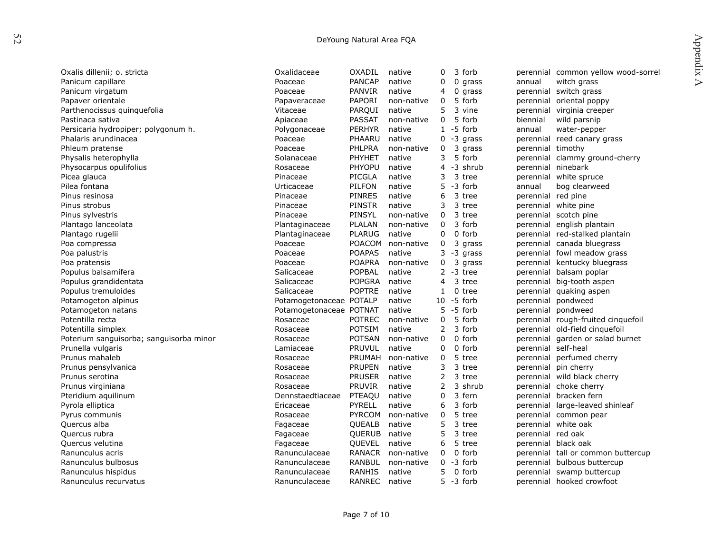| DeYoung Natural Area FQA                |                         |               |            |                |               |                     |                                     |  |
|-----------------------------------------|-------------------------|---------------|------------|----------------|---------------|---------------------|-------------------------------------|--|
|                                         |                         |               |            |                |               |                     | Appendix                            |  |
| Oxalis dillenii; o. stricta             | Oxalidaceae             | OXADIL        | native     | 0              | 3 forb        |                     | perennial common yellow wood-sorrel |  |
| Panicum capillare                       | Poaceae                 | <b>PANCAP</b> | native     | 0              | $0$ grass     | annual              | $\triangleright$<br>witch grass     |  |
| Panicum virgatum                        | Poaceae                 | PANVIR        | native     | 4              | 0 grass       |                     | perennial switch grass              |  |
| Papaver orientale                       | Papaveraceae            | PAPORI        | non-native | 0              | 5 forb        |                     | perennial oriental poppy            |  |
| Parthenocissus quinquefolia             | Vitaceae                | PARQUI        | native     | 5              | 3 vine        | perennial           | virginia creeper                    |  |
| Pastinaca sativa                        | Apiaceae                | <b>PASSAT</b> | non-native | 0              | 5 forb        | biennial            | wild parsnip                        |  |
| Persicaria hydropiper; polygonum h.     | Polygonaceae            | <b>PERHYR</b> | native     |                | $1 - 5$ forb  | annual              | water-pepper                        |  |
| Phalaris arundinacea                    | Poaceae                 | PHAARU        | native     | 0              | -3 grass      | perennial           | reed canary grass                   |  |
| Phleum pratense                         | Poaceae                 | PHLPRA        | non-native | 0              | 3<br>grass    | perennial timothy   |                                     |  |
| Physalis heterophylla                   | Solanaceae              | <b>PHYHET</b> | native     | 3              | 5 forb        |                     | perennial clammy ground-cherry      |  |
| Physocarpus opulifolius                 | Rosaceae                | <b>PHYOPU</b> | native     | 4              | -3 shrub      | perennial ninebark  |                                     |  |
| Picea glauca                            | Pinaceae                | PICGLA        | native     | 3              | 3 tree        |                     | perennial white spruce              |  |
| Pilea fontana                           | Urticaceae              | PILFON        | native     | 5.             | -3 forb       | annual              | bog clearweed                       |  |
| Pinus resinosa                          | Pinaceae                | <b>PINRES</b> | native     | 6              | 3 tree        | perennial red pine  |                                     |  |
| Pinus strobus                           | Pinaceae                | <b>PINSTR</b> | native     | 3              | 3 tree        |                     | perennial white pine                |  |
| Pinus sylvestris                        | Pinaceae                | PINSYL        | non-native | 0              | 3 tree        |                     | perennial scotch pine               |  |
| Plantago lanceolata                     | Plantaginaceae          | PLALAN        | non-native | 0              | 3 forb        |                     | perennial english plantain          |  |
| Plantago rugelii                        | Plantaginaceae          | <b>PLARUG</b> | native     | 0              | 0 forb        |                     | perennial red-stalked plantain      |  |
| Poa compressa                           | Poaceae                 | <b>POACOM</b> | non-native | 0              | 3 grass       |                     | perennial canada bluegrass          |  |
| Poa palustris                           | Poaceae                 | <b>POAPAS</b> | native     | 3              | -3 grass      |                     | perennial fowl meadow grass         |  |
| Poa pratensis                           | Poaceae                 | <b>POAPRA</b> | non-native | 0              | 3<br>grass    |                     | perennial kentucky bluegrass        |  |
| Populus balsamifera                     | Salicaceae              | POPBAL        | native     |                | $2 - 3$ tree  |                     | perennial balsam poplar             |  |
| Populus grandidentata                   | Salicaceae              | <b>POPGRA</b> | native     | 4              | 3 tree        |                     | perennial big-tooth aspen           |  |
| Populus tremuloides                     | Salicaceae              | <b>POPTRE</b> | native     | $\mathbf{1}$   | 0 tree        |                     | perennial quaking aspen             |  |
| Potamogeton alpinus                     | Potamogetonaceae POTALP |               | native     |                | $10 - 5$ forb |                     | perennial pondweed                  |  |
| Potamogeton natans                      | Potamogetonaceae POTNAT |               | native     |                | $5 - 5$ forb  |                     | perennial pondweed                  |  |
| Potentilla recta                        | Rosaceae                | <b>POTREC</b> | non-native | $\Omega$       | 5 forb        |                     | perennial rough-fruited cinquefoil  |  |
| Potentilla simplex                      | Rosaceae                | <b>POTSIM</b> | native     | $\overline{2}$ | 3 forb        |                     | perennial old-field cinquefoil      |  |
| Poterium sanguisorba; sanguisorba minor | Rosaceae                | <b>POTSAN</b> | non-native | $\Omega$       | 0 forb        |                     | perennial garden or salad burnet    |  |
| Prunella vulgaris                       | Lamiaceae               | PRUVUL        | native     | 0              | 0 forb        | perennial self-heal |                                     |  |
| Prunus mahaleb                          | Rosaceae                | <b>PRUMAH</b> | non-native | 0              | 5 tree        |                     | perennial perfumed cherry           |  |
| Prunus pensylvanica                     | Rosaceae                | <b>PRUPEN</b> | native     | 3              | 3 tree        |                     | perennial pin cherry                |  |
| Prunus serotina                         | Rosaceae                | <b>PRUSER</b> | native     | 2              | 3 tree        |                     | perennial wild black cherry         |  |
| Prunus virginiana                       | Rosaceae                | <b>PRUVIR</b> | native     | 2              | 3 shrub       |                     | perennial choke cherry              |  |
| Pteridium aquilinum                     | Dennstaedtiaceae        | PTEAQU        | native     | 0              | 3 fern        |                     | perennial bracken fern              |  |
| Pyrola elliptica                        | Ericaceae               | <b>PYRELL</b> | native     | 6              | 3 forb        |                     | perennial large-leaved shinleaf     |  |
| Pyrus communis                          | Rosaceae                | <b>PYRCOM</b> | non-native | 0              | 5 tree        |                     | perennial common pear               |  |
| Quercus alba                            | Fagaceae                | QUEALB        | native     | 5              | 3 tree        |                     | perennial white oak                 |  |
| Quercus rubra                           | Fagaceae                | QUERUB        | native     | 5              | 3 tree        | perennial red oak   |                                     |  |
| Quercus velutina                        | Fagaceae                | <b>OUEVEL</b> | native     | 6              | 5<br>tree     |                     | perennial black oak                 |  |
| Ranunculus acris                        | Ranunculaceae           | RANACR        | non-native | $\Omega$       | 0 forb        |                     | perennial tall or common buttercup  |  |
| Ranunculus bulbosus                     | Ranunculaceae           | <b>RANBUL</b> | non-native | $\Omega$       | -3 forb       |                     | perennial bulbous buttercup         |  |
| Ranunculus hispidus                     | Ranunculaceae           | RANHIS        | native     | 5              | 0 forb        |                     | perennial swamp buttercup           |  |
| Ranunculus recurvatus                   | Ranunculaceae           | RANREC        | native     |                | $5 - 3$ forb  |                     | perennial hooked crowfoot           |  |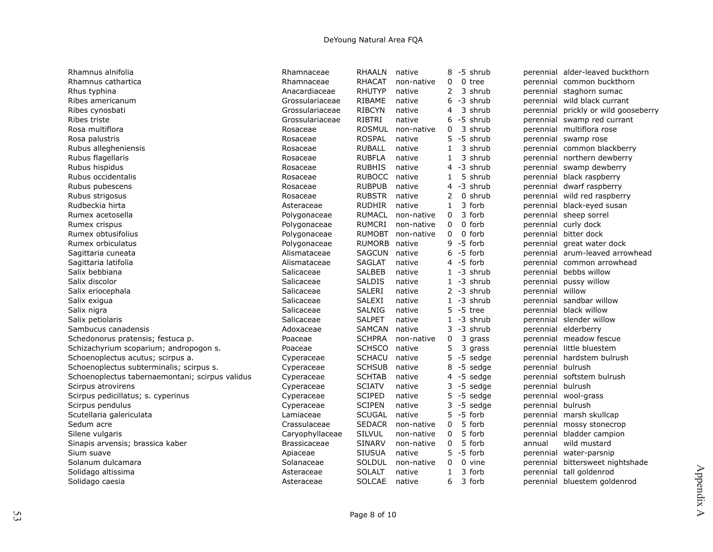| Rhamnus alnifolia                               | Rhamnaceae          | <b>RHAALN</b> | native     | 8            | -5 shrub      |                   | perennial alder-leaved buckthorn     |
|-------------------------------------------------|---------------------|---------------|------------|--------------|---------------|-------------------|--------------------------------------|
| Rhamnus cathartica                              | Rhamnaceae          | <b>RHACAT</b> | non-native | 0            | 0 tree        |                   | perennial common buckthorn           |
| Rhus typhina                                    | Anacardiaceae       | <b>RHUTYP</b> | native     | 2            | 3 shrub       |                   | perennial staghorn sumac             |
| Ribes americanum                                | Grossulariaceae     | RIBAME        | native     | 6            | -3 shrub      | perennial         | wild black currant                   |
| Ribes cynosbati                                 | Grossulariaceae     | <b>RIBCYN</b> | native     | 4            | 3 shrub       |                   | perennial prickly or wild gooseberry |
| Ribes triste                                    | Grossulariaceae     | RIBTRI        | native     | 6.           | -5 shrub      |                   | perennial swamp red currant          |
| Rosa multiflora                                 | Rosaceae            | <b>ROSMUL</b> | non-native | 0            | 3 shrub       | perennial         | multiflora rose                      |
| Rosa palustris                                  | Rosaceae            | <b>ROSPAL</b> | native     | 5.           | -5 shrub      |                   | perennial swamp rose                 |
| Rubus allegheniensis                            | Rosaceae            | <b>RUBALL</b> | native     | 1            | 3 shrub       |                   | perennial common blackberry          |
| Rubus flagellaris                               | Rosaceae            | <b>RUBFLA</b> | native     | 1            | 3 shrub       |                   | perennial northern dewberry          |
| Rubus hispidus                                  | Rosaceae            | <b>RUBHIS</b> | native     | 4            | -3 shrub      |                   | perennial swamp dewberry             |
| Rubus occidentalis                              | Rosaceae            | <b>RUBOCC</b> | native     | $\mathbf{1}$ | 5 shrub       |                   | perennial black raspberry            |
| Rubus pubescens                                 | Rosaceae            | <b>RUBPUB</b> | native     |              | 4 -3 shrub    | perennial         | dwarf raspberry                      |
| Rubus strigosus                                 | Rosaceae            | <b>RUBSTR</b> | native     | 2            | 0 shrub       | perennial         | wild red raspberry                   |
| Rudbeckia hirta                                 | Asteraceae          | <b>RUDHIR</b> | native     | $\mathbf{1}$ | 3 forb        |                   | perennial black-eyed susan           |
| Rumex acetosella                                | Polygonaceae        | <b>RUMACL</b> | non-native | 0            | 3 forb        |                   | perennial sheep sorrel               |
| Rumex crispus                                   | Polygonaceae        | RUMCRI        | non-native | 0            | 0 forb        |                   | perennial curly dock                 |
| Rumex obtusifolius                              | Polygonaceae        | <b>RUMOBT</b> | non-native | 0            | 0 forb        | perennial         | bitter dock                          |
| Rumex orbiculatus                               | Polygonaceae        | <b>RUMORB</b> | native     |              | $9 - 5$ forb  | perennial         | great water dock                     |
| Sagittaria cuneata                              | Alismataceae        | <b>SAGCUN</b> | native     |              | $6 - 5$ forb  |                   | perennial arum-leaved arrowhead      |
| Sagittaria latifolia                            | Alismataceae        | <b>SAGLAT</b> | native     |              | $4 - 5$ forb  |                   | perennial common arrowhead           |
| Salix bebbiana                                  | Salicaceae          | <b>SALBEB</b> | native     |              | $1 - 3$ shrub | perennial         | bebbs willow                         |
| Salix discolor                                  | Salicaceae          | <b>SALDIS</b> | native     |              | $1 - 3$ shrub | perennial         | pussy willow                         |
| Salix eriocephala                               | Salicaceae          | SALERI        | native     |              | $2 - 3$ shrub | perennial         | willow                               |
| Salix exigua                                    | Salicaceae          | SALEXI        | native     |              | $1 - 3$ shrub |                   | perennial sandbar willow             |
| Salix nigra                                     | Salicaceae          | <b>SALNIG</b> | native     |              | $5 - 5$ tree  | perennial         | black willow                         |
| Salix petiolaris                                | Salicaceae          | <b>SALPET</b> | native     |              | $1 - 3$ shrub |                   | perennial slender willow             |
| Sambucus canadensis                             | Adoxaceae           | SAMCAN        | native     | 3            | -3 shrub      | perennial         | elderberry                           |
| Schedonorus pratensis; festuca p.               | Poaceae             | <b>SCHPRA</b> | non-native | 0            | 3 grass       | perennial         | meadow fescue                        |
| Schizachyrium scoparium; andropogon s.          | Poaceae             | <b>SCHSCO</b> | native     | 5            | 3 grass       | perennial         | little bluestem                      |
| Schoenoplectus acutus; scirpus a.               | Cyperaceae          | <b>SCHACU</b> | native     |              | $5 - 5$ sedge |                   | perennial hardstem bulrush           |
| Schoenoplectus subterminalis; scirpus s.        | Cyperaceae          | <b>SCHSUB</b> | native     | 8            | -5 sedge      | perennial bulrush |                                      |
| Schoenoplectus tabernaemontani; scirpus validus | Cyperaceae          | <b>SCHTAB</b> | native     |              | $4 - 5$ sedge |                   | perennial softstem bulrush           |
| Scirpus atrovirens                              | Cyperaceae          | <b>SCIATV</b> | native     |              | $3 - 5$ sedge | perennial bulrush |                                      |
| Scirpus pedicillatus; s. cyperinus              | Cyperaceae          | <b>SCIPED</b> | native     |              | 5 -5 sedge    |                   | perennial wool-grass                 |
| Scirpus pendulus                                | Cyperaceae          | <b>SCIPEN</b> | native     |              | $3 - 5$ sedge | perennial         | bulrush                              |
| Scutellaria galericulata                        | Lamiaceae           | <b>SCUGAL</b> | native     | 5.           | -5 forb       | perennial         | marsh skullcap                       |
| Sedum acre                                      | Crassulaceae        | <b>SEDACR</b> | non-native | 0            | 5 forb        | perennial         | mossy stonecrop                      |
| Silene vulgaris                                 | Caryophyllaceae     | <b>SILVUL</b> | non-native | 0            | 5 forb        | perennial         | bladder campion                      |
| Sinapis arvensis; brassica kaber                | <b>Brassicaceae</b> | <b>SINARV</b> | non-native | 0            | 5 forb        | annual            | wild mustard                         |
| Sium suave                                      | Apiaceae            | <b>SIUSUA</b> | native     | 5.           | -5 forb       | perennial         | water-parsnip                        |
| Solanum dulcamara                               | Solanaceae          | <b>SOLDUL</b> | non-native | 0            | 0 vine        | perennial         | bittersweet nightshade               |
| Solidago altissima                              | Asteraceae          | <b>SOLALT</b> | native     | $\mathbf{1}$ | 3 forb        | perennial         | tall goldenrod                       |
| Solidago caesia                                 | Asteraceae          | <b>SOLCAE</b> | native     | 6            | 3 forb        |                   | perennial bluestem goldenrod         |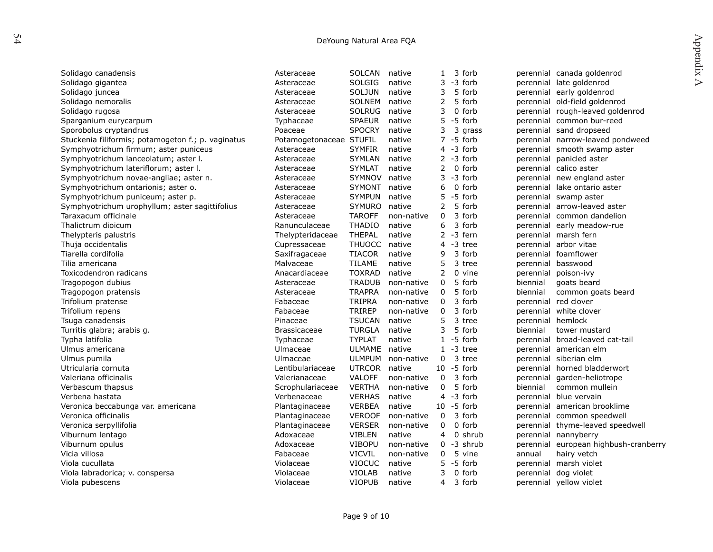| r |
|---|

| DeYoung Natural Area FQA                           |                         |               |            |              |               |           |                                  |                  |
|----------------------------------------------------|-------------------------|---------------|------------|--------------|---------------|-----------|----------------------------------|------------------|
|                                                    |                         |               |            |              |               |           |                                  | Appendix         |
| Solidago canadensis                                | Asteraceae              | <b>SOLCAN</b> | native     | 1            | 3 forb        |           | perennial canada goldenrod       |                  |
| Solidago gigantea                                  | Asteraceae              | <b>SOLGIG</b> | native     | 3            | -3 forb       | perennial | late goldenrod                   | $\triangleright$ |
| Solidago juncea                                    | Asteraceae              | <b>SOLJUN</b> | native     | 3            | 5 forb        | perennial | early goldenrod                  |                  |
| Solidago nemoralis                                 | Asteraceae              | <b>SOLNEM</b> | native     | 2            | 5 forb        | perennial | old-field goldenrod              |                  |
| Solidago rugosa                                    | Asteraceae              | <b>SOLRUG</b> | native     | 3            | 0 forb        | perennial | rough-leaved goldenrod           |                  |
| Sparganium eurycarpum                              | Typhaceae               | <b>SPAEUR</b> | native     | 5.           | -5 forb       |           | perennial common bur-reed        |                  |
| Sporobolus cryptandrus                             | Poaceae                 | <b>SPOCRY</b> | native     | 3            | 3<br>grass    |           | perennial sand dropseed          |                  |
| Stuckenia filiformis; potamogeton f.; p. vaginatus | Potamogetonaceae STUFIL |               | native     |              | $7 - 5$ forb  |           | perennial narrow-leaved pondweed |                  |
| Symphyotrichum firmum; aster puniceus              | Asteraceae              | <b>SYMFIR</b> | native     |              | $4 - 3$ forb  |           | perennial smooth swamp aster     |                  |
| Symphyotrichum lanceolatum; aster I.               | Asteraceae              | <b>SYMLAN</b> | native     |              | $2 - 3$ forb  | perennial | panicled aster                   |                  |
| Symphyotrichum lateriflorum; aster I.              | Asteraceae              | <b>SYMLAT</b> | native     | 2            | $0$ forb      | perennial | calico aster                     |                  |
| Symphyotrichum novae-angliae; aster n.             | Asteraceae              | SYMNOV        | native     | 3            | -3 forb       | perennial | new england aster                |                  |
| Symphyotrichum ontarionis; aster o.                | Asteraceae              | SYMONT        | native     | 6            | 0 forb        | perennial | lake ontario aster               |                  |
| Symphyotrichum puniceum; aster p.                  | Asteraceae              | <b>SYMPUN</b> | native     | 5            | -5<br>forb    | perennial | swamp aster                      |                  |
| Symphyotrichum urophyllum; aster sagittifolius     | Asteraceae              | SYMURO        | native     | 2            | 5 forb        |           | perennial arrow-leaved aster     |                  |
| Taraxacum officinale                               | Asteraceae              | <b>TAROFF</b> | non-native | 0            | 3 forb        |           | perennial common dandelion       |                  |
| Thalictrum dioicum                                 | Ranunculaceae           | <b>THADIO</b> | native     | 6            | 3 forb        | perennial | early meadow-rue                 |                  |
| Thelypteris palustris                              | Thelypteridaceae        | <b>THEPAL</b> | native     | $\mathbf{2}$ | -3 fern       | perennial | marsh fern                       |                  |
| Thuja occidentalis                                 | Cupressaceae            | <b>THUOCC</b> | native     | 4            | -3 tree       | perennial | arbor vitae                      |                  |
| Tiarella cordifolia                                | Saxifragaceae           | <b>TIACOR</b> | native     | 9            | 3 forb        | perennial | foamflower                       |                  |
| Tilia americana                                    | Malvaceae               | TILAME        | native     | 5            | 3 tree        | perennial | basswood                         |                  |
| Toxicodendron radicans                             | Anacardiaceae           | <b>TOXRAD</b> | native     | 2            | 0 vine        | perennial | poison-ivy                       |                  |
| Tragopogon dubius                                  | Asteraceae              | <b>TRADUB</b> | non-native | 0            | 5 forb        | biennial  | goats beard                      |                  |
| Tragopogon pratensis                               | Asteraceae              | <b>TRAPRA</b> | non-native | 0            | 5 forb        | biennial  | common goats beard               |                  |
| Trifolium pratense                                 | Fabaceae                | <b>TRIPRA</b> | non-native | 0            | 3 forb        | perennial | red clover                       |                  |
| Trifolium repens                                   | Fabaceae                | <b>TRIREP</b> | non-native | $\mathbf 0$  | 3 forb        | perennial | white clover                     |                  |
| Tsuga canadensis                                   | Pinaceae                | <b>TSUCAN</b> | native     | 5            | 3 tree        | perennial | hemlock                          |                  |
| Turritis glabra; arabis g.                         | <b>Brassicaceae</b>     | <b>TURGLA</b> | native     | 3            | 5 forb        | biennial  | tower mustard                    |                  |
| Typha latifolia                                    | Typhaceae               | <b>TYPLAT</b> | native     |              | $1 - 5$ forb  | perennial | broad-leaved cat-tail            |                  |
| Ulmus americana                                    | Ulmaceae                | ULMAME        | native     | $\mathbf{1}$ | -3 tree       | perennial | american elm                     |                  |
| Ulmus pumila                                       | Ulmaceae                | <b>ULMPUM</b> | non-native | $\mathbf{0}$ | 3 tree        | perennial | siberian elm                     |                  |
| Utricularia cornuta                                | Lentibulariaceae        | <b>UTRCOR</b> | native     |              | $10 - 5$ forb | perennial | horned bladderwort               |                  |
| Valeriana officinalis                              | Valerianaceae           | <b>VALOFF</b> | non-native | 0            | 3 forb        | perennial | garden-heliotrope                |                  |
| Verbascum thapsus                                  | Scrophulariaceae        | <b>VERTHA</b> | non-native | 0            | 5 forb        | biennial  | common mullein                   |                  |
| Verbena hastata                                    | Verbenaceae             | <b>VERHAS</b> | native     | 4            | $-3$ forb     | perennial | blue vervain                     |                  |
| Veronica beccabunga var. americana                 | Plantaginaceae          | <b>VERBEA</b> | native     |              | $10 - 5$ forb | perennial | american brooklime               |                  |
| Veronica officinalis                               | Plantaginaceae          | <b>VEROOF</b> | non-native | 0            | 3 forb        |           | perennial common speedwell       |                  |
| Veronica serpyllifolia                             | Plantaginaceae          | <b>VERSER</b> | non-native | 0            | 0 forb        | perennial | thyme-leaved speedwell           |                  |
| Viburnum lentago                                   | Adoxaceae               | <b>VIBLEN</b> | native     | 4            | 0 shrub       | perennial | nannyberry                       |                  |
| Viburnum opulus                                    | Adoxaceae               | <b>VIBOPU</b> | non-native | 0            | -3 shrub      | perennial | european highbush-cranberry      |                  |
| Vicia villosa                                      | Fabaceae                | <b>VICVIL</b> | non-native | 0            | 5 vine        | annual    | hairy vetch                      |                  |
| Viola cucullata                                    | Violaceae               | <b>VIOCUC</b> | native     | 5            | -5 forb       | perennial | marsh violet                     |                  |
| Viola labradorica; v. conspersa                    | Violaceae               | <b>VIOLAB</b> | native     | 3            | 0 forb        | perennial | dog violet                       |                  |
| Viola pubescens                                    | Violaceae               | <b>VIOPUB</b> | native     | 4            | 3 forb        |           | perennial yellow violet          |                  |